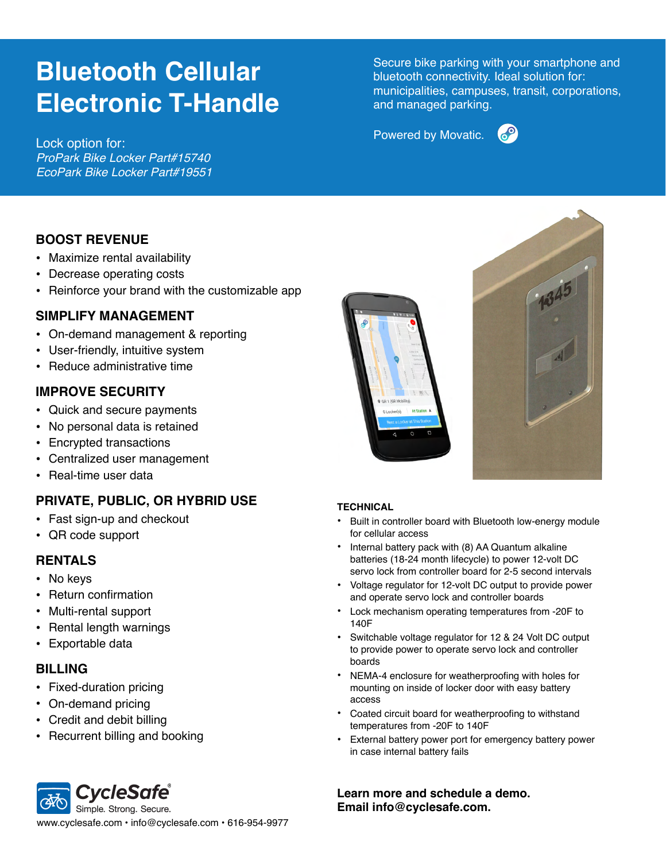# **Bluetooth Cellular Electronic T-Handle**

Powered by Movatic. Lock option for: *ProPark Bike Locker Part#15740 EcoPark Bike Locker Part#19551*

Secure bike parking with your smartphone and bluetooth connectivity. Ideal solution for: municipalities, campuses, transit, corporations, and managed parking.



### **BOOST REVENUE**

- Maximize rental availability
- Decrease operating costs
- Reinforce your brand with the customizable app

### **SIMPLIFY MANAGEMENT**

- On-demand management & reporting
- User-friendly, intuitive system
- Reduce administrative time

#### **IMPROVE SECURITY**

- Quick and secure payments
- No personal data is retained
- Encrypted transactions
- Centralized user management
- Real-time user data

# **PRIVATE, PUBLIC, OR HYBRID USE**

- Fast sign-up and checkout
- QR code support

### **RENTALS**

- No keys
- Return confirmation
- Multi-rental support
- Rental length warnings
- Exportable data

#### **BILLING**

- Fixed-duration pricing
- On-demand pricing
- Credit and debit billing
- Recurrent billing and booking





#### **TECHNICAL**

- Built in controller board with Bluetooth low-energy module for cellular access
- Internal battery pack with (8) AA Quantum alkaline batteries (18-24 month lifecycle) to power 12-volt DC servo lock from controller board for 2-5 second intervals
- Voltage regulator for 12-volt DC output to provide power and operate servo lock and controller boards
- Lock mechanism operating temperatures from -20F to 140F
- Switchable voltage regulator for 12 & 24 Volt DC output to provide power to operate servo lock and controller boards
- NEMA-4 enclosure for weatherproofing with holes for mounting on inside of locker door with easy battery access
- Coated circuit board for weatherproofing to withstand temperatures from -20F to 140F
- External battery power port for emergency battery power in case internal battery fails

**Learn more and schedule a demo. Email info@cyclesafe.com.**

**CycleSafe®** Simple. Strong. Secure. www.cyclesafe.com • info@cyclesafe.com • 616-954-9977